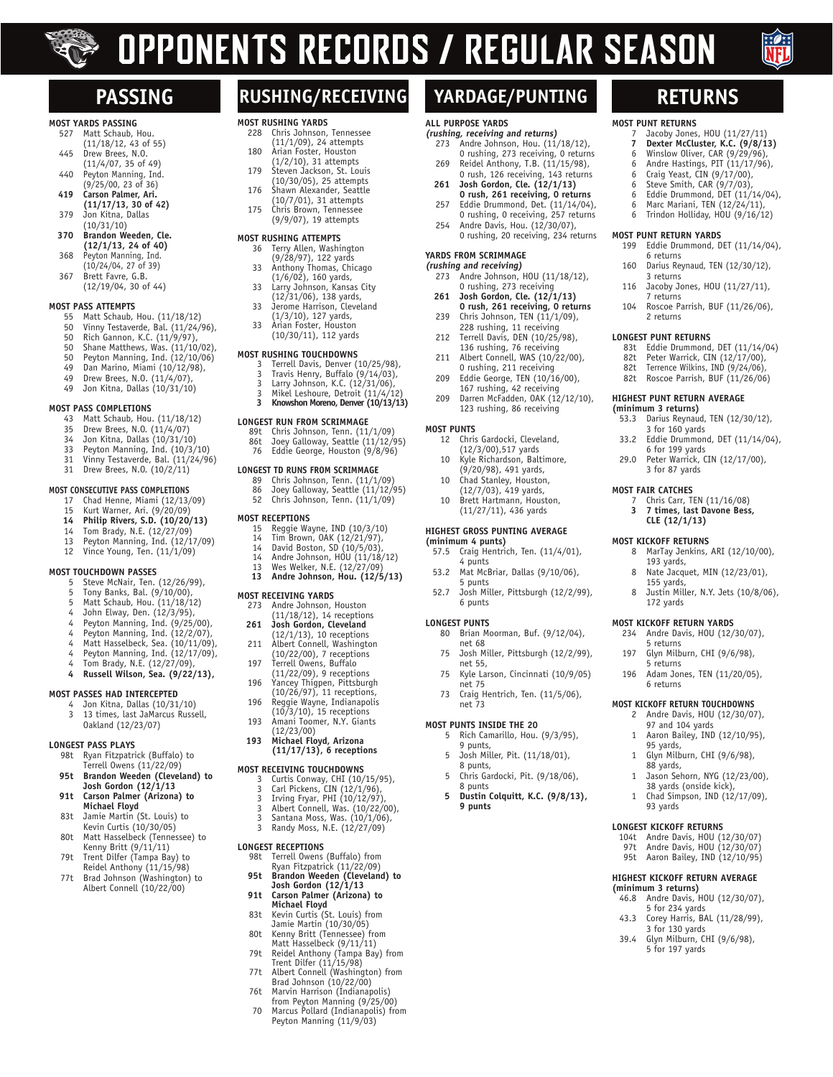# $\sum_{i=1}^{n}$

# **OPPONENTS RECORDS / REGULAR SEASON**

**ALL PURPOSE YARDS**

**YARDS FROM SCRIMMAGE (rushing and receiving)**

0 rushing, 273 receiving<br>261 Josh Gordon, Cle. (12/1 **261 Josh Gordon, Cle. (12/1/13) 0 rush, 261 receiving, 0 returns**<br>239 Chris Johnson, TEN (11/1/09). 239 Chris Johnson, TEN (11/1/09), 228 rushing, 11 receiving 212 Terrell Davis, DEN (10/25/98), 136 rushing, 76 receiving<br>211 Albert Connell, WAS (10/2 Albert Connell, WAS (10/22/00),

0 rushing, 211 receiving<br>209 Eddie George, TEN (10/1 Eddie George, TEN (10/16/00), 167 rushing, 42 receiving<br>209 Darren McFadden, OAK (12

12 Chris Gardocki, Cleveland, (12/3/00),517 yards<br>10 Kyle Richardson, Balt Kyle Richardson, Baltimore, (9/20/98), 491 yards, 10 Chad Stanley, Houston,  $(12/7/03)$ , 419 yards,<br>10 Brett Hartmann, Housi Brett Hartmann, Houston, (11/27/11), 436 yards **HIGHEST GROSS PUNTING AVERAGE**

57.5 Craig Hentrich, Ten. (11/4/01),

53.2 Mat McBriar, Dallas (9/10/06),

80 Brian Moorman, Buf. (9/12/04),

73 Craig Hentrich, Ten. (11/5/06),

5 Rich Camarillo, Hou. (9/3/95),

Chris Gardocki, Pit. (9/18/06),

**5 Dustin Colquitt, K.C. (9/8/13),**

5 Josh Miller, Pit. (11/18/01),

Josh Miller, Pittsburgh (12/2/99),

Josh Miller, Pittsburgh (12/2/99),

Kyle Larson, Cincinnati (10/9/05)

**MOST PUNTS**

**(minimum 4 punts)**

5 punts<br>52.7 Josh Mi

net 68<br>75 Josh M

net 55,<br>75 Kyle La

net 75

 net 73 **MOST PUNTS INSIDE THE 20**

9 punts,

8 punts

 **9 punts**

8 punts,<br>5 Chris Ga

4 punts

 6 punts **LONGEST PUNTS**

**(rushing, receiving and returns)**

Andre Johnson, Hou. (11/18/12), 0 rushing, 273 receiving, 0 returns<br>269 Reidel Anthony, T.B. (11/15/98) Reidel Anthony, T.B. (11/15/98),

**MOST PUNT RETURNS**

**MOST PUNT RETURN YARDS**

7 returns

 2 returns **LONGEST PUNT RETURNS**

**HIGHEST PUNT RETURN AVERAGE (minimum 3 returns)**

3 for 160 yards<br>33.2 Fddie Drummon

6 for 199 yards<br>29.0 Peter Warrick, C

**MOST FAIR CATCHES**

3 for 87 yards

193 yards,

155 yards,

 172 yards **MOST KICKOFF RETURN YARDS** 234 Andre Davis, HOU (12/30/07),

5 returns<br>197 Glyn Milb

5 returns<br>196 Adam Jor

6 returns

95 yards,

,88 yards<br>1 .Jason Sel

 93 yards **LONGEST KICKOFF RETURNS**

5 for 234 yards<br>43.3 Corev Harris, BA

39.4 Glvn Milburn, Cl

**MOST KICKOFF RETURN TOUCHDOWNS** 2 Andre Davis, HOU (12/30/07), 97 and 104 yards 1 Aaron Bailey, IND (12/10/95),

1 Glyn Milburn, CHI (9/6/98),

104t Andre Davis, HOU (12/30/07)<br>97t Andre Davis, HOU (12/30/07) Andre Davis, HOU (12/30/07) 95t Aaron Bailey, IND (12/10/95) **HIGHEST KICKOFF RETURN AVERAGE (minimum 3 returns)** 46.8 Andre Davis, HOU (12/30/07),

Corey Harris, BAL (11/28/99),

Glyn Milburn, CHI (9/6/98), 5 for 197 yards

Jason Sehorn, NYG (12/23/00), 38 yards (onside kick), 1 Chad Simpson, IND (12/17/09),

6 returns<br>160 Darius Rev

3 returns<br>116 Jacoby J

7 Jacoby Jones, HOU (11/27/11)<br>**7 Dexter McCluster, K.C. (9/8/1**) **7 Dexter McCluster, K.C. (9/8/13)**<br>6 Winslow Oliver, CAR (9/29/96), Winslow Oliver, CAR (9/29/96), 6 Andre Hastings, PIT (11/17/96), 6 Craig Yeast, CIN (9/17/00), 6 Steve Smith,  $CAR$   $(9/7/03)$ , 6 Eddie Drummond, DET  $(11/14/04)$ ,<br>6 Marc Mariani. TEN  $(12/24/11)$ . 6 Marc Mariani, TEN  $(12/24/11)$ ,<br>6 Trindon Hollidav. HOU (9/16/1 Trindon Holliday, HOU (9/16/12)

199 Eddie Drummond, DET (11/14/04),

Darius Reynaud, TEN (12/30/12),

Jacoby Jones, HOU (11/27/11),

104 Roscoe Parrish, BUF (11/26/06),

83t Eddie Drummond, DET (11/14/04)<br>82t Peter Warrick, CIN (12/17/00) Peter Warrick, CIN  $(12/17/00)$ , 82t Terrence Wilkins, IND (9/24/06), 82t Roscoe Parrish, BUF (11/26/06)

53.3 Darius Reynaud, TEN (12/30/12),

7 Chris Carr, TEN (11/16/08) **3 7 times, last Davone Bess, CLE (12/1/13) MOST KICKOFF RETURNS**

8 MarTay Jenkins, ARI (12/10/00),

8 Nate Jacquet, MIN (12/23/01),

Glyn Milburn, CHI (9/6/98),

Adam Jones, TEN (11/20/05),

Justin Miller, N.Y. Jets (10/8/06),

Eddie Drummond, DET (11/14/04),

Peter Warrick, CIN (12/17/00),

0 rush, 126 receiving, 143 returns<br> **261 Josh Gordon, Cle. (12/1/13)**<br> **0 rush, 261 receiving, 0 returns**<br>
257 Eddie Drummond, Det. (11/14/04),

0 rushing, 0 receiving, 257 returns<br>254 Andre Davis, Hou. (12/30/07). Andre Davis, Hou. (12/30/07), 0 rushing, 20 receiving, 234 returns

Andre Johnson, HOU (11/18/12),

Darren McFadden, OAK (12/12/10), 123 rushing, 86 receiving



### **MOST YARDS PASSING**

- Matt Schaub, Hou. (11/18/12, 43 of 55)<br>445 Drew Brees, N.O.
- Drew Brees, N.O. (11/4/07, 35 of 49)
- 440 Peyton Manning, Ind.
- (9/25/00, 23 of 36)<br>**419** Carson Palmer, Ari. **419 Carson Palmer, Ari.**
- **(11/17/13, 30 of 42)** 379 Jon Kitna, Dallas (10/31/10)
- **370 Brandon Weeden, Cle.**
- **(12/1/13, 24 of 40)**<br>368 Peyton Manning, Ind.<br>(10/24/04, 27 of 39)
	- 367 Brett Favre, G.B.
	- (12/19/04, 30 of 44)

### **MOST PASS ATTEMPTS**

- 55 Matt Schaub, Hou. (11/18/12)<br>50 Vinny Testaverde, Bal. (11/24/
- 50 Vinny Testaverde, Bal. (11/24/96),<br>50 Rich Gannon, K.C. (11/9/97), Rich Gannon, K.C. (11/9/97),
- 
- 50 Shane Matthews, Was. (11/10/02),<br>50 Peyton Manning, Ind. (12/10/06) Peyton Manning, Ind. (12/10/06)
- 49 Dan Marino, Miami (10/12/98),
- 49 Drew Brees, N.O. (11/4/07),<br>49 Jon Kitna, Dallas (10/31/10)
- Jon Kitna, Dallas (10/31/10)

### **MOST PASS COMPLETIONS**

- 43 Matt Schaub, Hou. (11/18/12)
- 35 Drew Brees, N.O. (11/4/07)
- 
- 34 Jon Kitna, Dallas (10/31/10) 33 Peyton Manning, Ind. (10/3/10) 31 Vinny Testaverde, Bal. (11/24/96)
- 31 Drew Brees, N.O. (10/2/11)

- **MOST CONSECUTIVE PASS COMPLETIONS**
	- 17 Chad Henne, Miami (12/13/09) 15 Kurt Warner, Ari. (9/20/09)
	- **14 Philip Rivers, S.D. (10/20/13)**<br>14 Tom Brady, N.E. (12/27/09)
	- Tom Brady, N.E. (12/27/09)
	- 13 Peyton Manning, Ind. (12/17/09)<br>12 Vince Young, Ten. (11/1/09)
	- Vince Young, Ten.  $(11/1/09)$

### **MOST TOUCHDOWN PASSES**

- 5 Steve McNair, Ten. (12/26/99),<br>5 Tony Banks, Bal. (9/10/00),
- 5 Tony Banks, Bal. (9/10/00),<br>5 Matt Schaub, Hou. (11/18/11
- 5 Matt Schaub, Hou. (11/18/12)<br>4 John Flway, Den. (12/3/05)
- John Elway, Den. (12/3/95),
- 
- 4 Peyton Manning, Ind. (9/25/00), 4 Peyton Manning, Ind. (12/2/07), 4 Matt Hasselbeck, Sea. (10/11/09),
- 4 Peyton Manning, Ind. (12/17/09),<br>4 Tom Brady, N.F. (12/27/09),
- 4 Tom Brady, N.E.  $(12/27/09)$ ,<br>4 Russell Wilson, Sea, (9/22)
- **4 Russell Wilson, Sea. (9/22/13),**

### **MOST PASSES HAD INTERCEPTED**

4 Jon Kitna, Dallas (10/31/10) 3 13 times, last JaMarcus Russell, Oakland (12/23/07)

#### **LONGEST PASS PLAYS**

- 98t Ryan Fitzpatrick (Buffalo) to Terrell Owens (11/22/09)
- **95t Brandon Weeden (Cleveland) to Josh Gordon (12/1/13**
- **91t Carson Palmer (Arizona) to Michael Floyd**
- 83t Jamie Martin (St. Louis) to Kevin Curtis (10/30/05)
	- 80t Matt Hasselbeck (Tennessee) to Kenny Britt (9/11/11)<br>79t Trent Dilfer (Tampa Ba
	- Trent Dilfer (Tampa Bay) to Reidel Anthony (11/15/98)
	- 77t Brad Johnson (Washington) to Albert Connell (10/22/00)

# **PASSING RUSHING/RECEIVING YARDAGE/PUNTING RETURNS**

### **MOST RUSHING YARDS**

- Chris Johnson, Tennessee (11/1/09), 24 attempts 180 Arian Foster, Houston (1/2/10), 31 attempts
- 179 Steven Jackson, St. Louis (10/30/05), 25 attempts
	- 176 Shawn Alexander, Seattle  $(10/7/01)$ , 31 attempts<br>175 Chris Brown Tennessee
- 175 Chris Brown, Tennessee (9/9/07), 19 attempts

### **MOST RUSHING ATTEMPTS**

- 36 Terry Allen, Washington (9/28/97), 122 yards
- 33 Anthony Thomas, Chicago (1/6/02), 160 yards,
	- 33 Larry Johnson, Kansas City
- (12/31/06), 138 yards, 33 Jerome Harrison, Cleveland
	- $(1/3/10)$ , 127 yards,<br>33 Arian Eoster Houston
	- Arian Foster, Houston (10/30/11), 112 yards

#### **MOST RUSHING TOUCHDOWNS**

- 3 Terrell Davis, Denver (10/25/98), 3 Travis Henry, Buffalo (9/14/03),
- 
- 3 Larry Johnson, K.C.  $(12/31/06)$ ,<br>3 Mikel Leshoure, Detroit  $(11/4/15)$ <br>3 Knowshon Moreno, Denver  $(10/13)$ 3 Mikel Leshoure, Detroit (11/4/12) **3 Knowshon Moreno, Denver (10/13/13)**
- 

### **LONGEST RUN FROM SCRIMMAGE**<br>89t Chris Johnson, Tenn. (11

- 89t Chris Johnson, Tenn. (11/1/09) 86t Joey Galloway, Seattle (11/12/95)
- 76 Eddie George, Houston (9/8/96)

### **LONGEST TD RUNS FROM SCRIMMAGE**<br>89 Chris Johnson, Tenn. (11/1)

- 89 Chris Johnson, Tenn. (11/1/09) 86 Joey Galloway, Seattle (11/12/95) 52 Chris Johnson, Tenn. (11/1/09)
- 

### **MOST RECEPTIONS**

- 15 Reggie Wayne, IND (10/3/10)
- 14 Tim Brown, OAK (12/21/97), 14 David Boston, SD (10/5/03), 14 Andre Johnson, HOU (11/18/12) 13 Wes Welker, N.E. (12/27/09)
- 
- **13 Andre Johnson, Hou. (12/5/13)**

## **MOST RECEIVING YARDS**

- 273 Andre Johnson, Houston (11/18/12), 14 receptions
- **261 Josh Gordon, Cleveland** (12/1/13), 10 receptions
- 211 Albert Connell, Washington (10/22/00), 7 receptions
- 197 Terrell Owens, Buffalo (11/22/09), 9 receptions
- 196 Yancey Thigpen, Pittsburgh (10/26/97), 11 receptions,
- 
- 196 Reggie Wayne, Indianapolis (10/3/10), 15 receptions 193 Amani Toomer, N.Y. Giants
- (12/23/00) **193 Michael Floyd, Arizona (11/17/13), 6 receptions**

### **MOST RECEIVING TOUCHDOWNS**

- 3 Curtis Conway, CHI (10/15/95),<br>3 Carl Pickens, CIN (12/1/96),
- 
- 3 Carl Pickens, CIN (12/1/96), 3 Irving Fryar, PHI (10/12/97), 3 Albert Connell, Was. (10/22/00), 3 Santana Moss, Was. (10/1/06),
- 
- 3 Randy Moss, N.E. (12/27/09)

**91t Carson Palmer (Arizona) to**

83t Kevin Curtis (St. Louis) from Jamie Martin (10/30/05) 80t Kenny Britt (Tennessee) from Matt Hasselbeck (9/11/11)<br>79t Reidel Anthony (Tampa Bay 79t Reidel Anthony (Tampa Bay) from Trent Dilfer (11/15/98) 77t Albert Connell (Washington) from Brad Johnson (10/22/00)<br>76t Marvin Harrison (Indianan 76t Marvin Harrison (Indianapolis) from Peyton Manning (9/25/00) 70 Marcus Pollard (Indianapolis) from Peyton Manning (11/9/03)

# **LONGEST RECEPTIONS**<br>98t Terrell Owens 98t Terrell Owens (Buffalo) from Ryan Fitzpatrick (11/22/09) **95t Brandon Weeden (Cleveland) to Josh Gordon (12/1/13**

**Michael Floyd**<br>**83t** Kevin Curtis (S